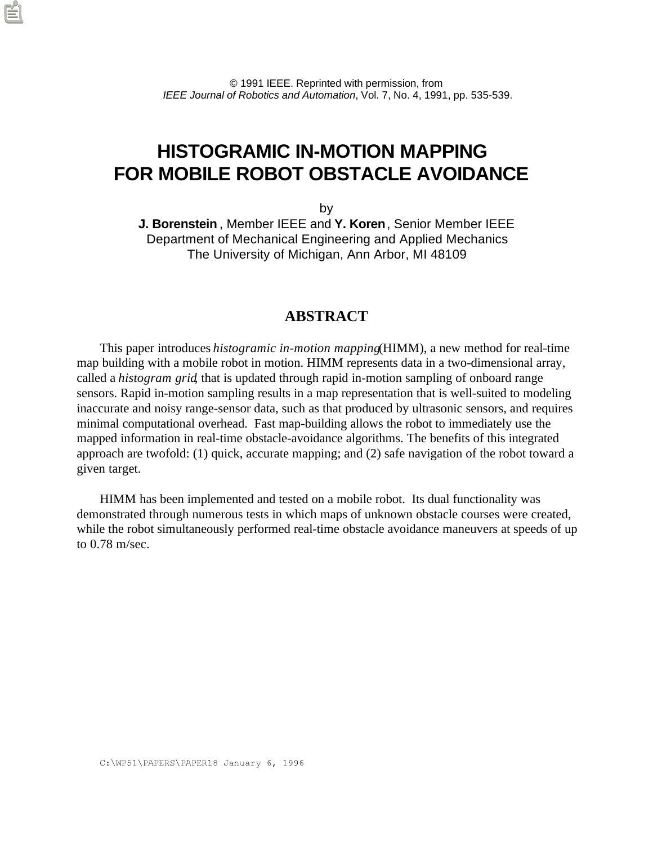# **HISTOGRAMIC IN-MOTION MAPPING FOR MOBILE ROBOT OBSTACLE AVOIDANCE**

by

**J. Borenstein** , Member IEEE and **Y. Koren**, Senior Member IEEE Department of Mechanical Engineering and Applied Mechanics The University of Michigan, Ann Arbor, MI 48109

#### **ABSTRACT**

This paper introduces *histogramic in-motion mapping* (HIMM), a new method for real-time map building with a mobile robot in motion. HIMM represents data in a two-dimensional array, called a *histogram grid*, that is updated through rapid in-motion sampling of onboard range sensors. Rapid in-motion sampling results in a map representation that is well-suited to modeling inaccurate and noisy range-sensor data, such as that produced by ultrasonic sensors, and requires minimal computational overhead. Fast map-building allows the robot to immediately use the mapped information in real-time obstacle-avoidance algorithms. The benefits of this integrated approach are twofold: (1) quick, accurate mapping; and (2) safe navigation of the robot toward a given target.

HIMM has been implemented and tested on a mobile robot. Its dual functionality was demonstrated through numerous tests in which maps of unknown obstacle courses were created, while the robot simultaneously performed real-time obstacle avoidance maneuvers at speeds of up to 0.78 m/sec.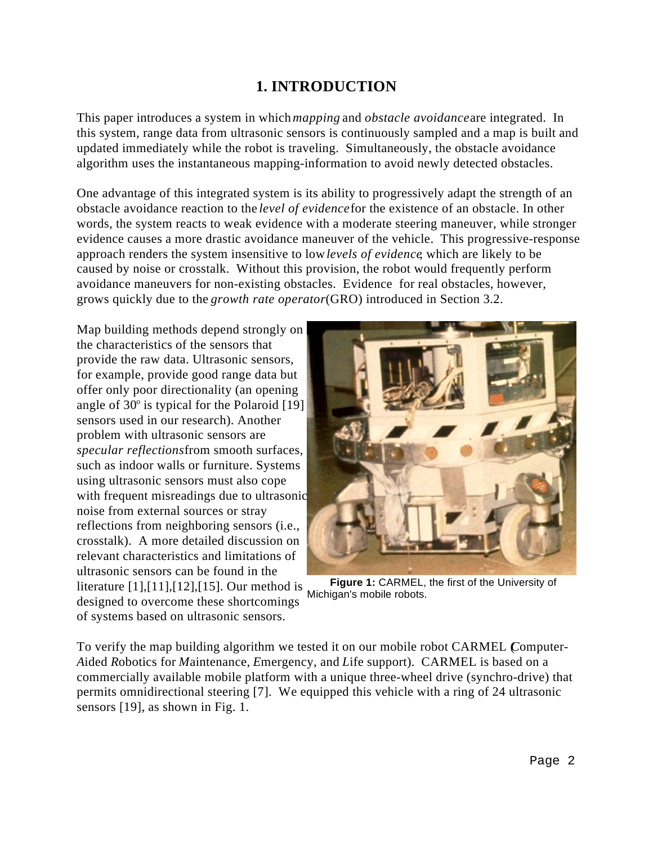# **1. INTRODUCTION**

This paper introduces a system in which *mapping* and *obstacle avoidance* are integrated. In this system, range data from ultrasonic sensors is continuously sampled and a map is built and updated immediately while the robot is traveling. Simultaneously, the obstacle avoidance algorithm uses the instantaneous mapping-information to avoid newly detected obstacles.

One advantage of this integrated system is its ability to progressively adapt the strength of an obstacle avoidance reaction to the *level of evidence* for the existence of an obstacle. In other words, the system reacts to weak evidence with a moderate steering maneuver, while stronger evidence causes a more drastic avoidance maneuver of the vehicle. This progressive-response approach renders the system insensitive to low *levels of evidence*, which are likely to be caused by noise or crosstalk. Without this provision, the robot would frequently perform avoidance maneuvers for non-existing obstacles. Evidence for real obstacles, however, grows quickly due to the *growth rate operator* (GRO) introduced in Section 3.2.

Map building methods depend strongly on the characteristics of the sensors that provide the raw data. Ultrasonic sensors, for example, provide good range data but offer only poor directionality (an opening angle of  $30^{\circ}$  is typical for the Polaroid [19] sensors used in our research). Another problem with ultrasonic sensors are *specular reflections* from smooth surfaces, such as indoor walls or furniture. Systems using ultrasonic sensors must also cope with frequent misreadings due to ultrasonic noise from external sources or stray reflections from neighboring sensors (i.e., crosstalk). A more detailed discussion on relevant characteristics and limitations of ultrasonic sensors can be found in the literature [1],[11],[12],[15]. Our method is designed to overcome these shortcomings of systems based on ultrasonic sensors.



**Figure 1:** CARMEL, the first of the University of Michigan's mobile robots.

To verify the map building algorithm we tested it on our mobile robot CARMEL (*C*omputer-*A*ided *R*obotics for *M*aintenance, *E*mergency, and *L*ife support). CARMEL is based on a commercially available mobile platform with a unique three-wheel drive (synchro-drive) that permits omnidirectional steering [7]. We equipped this vehicle with a ring of 24 ultrasonic sensors [19], as shown in Fig. 1.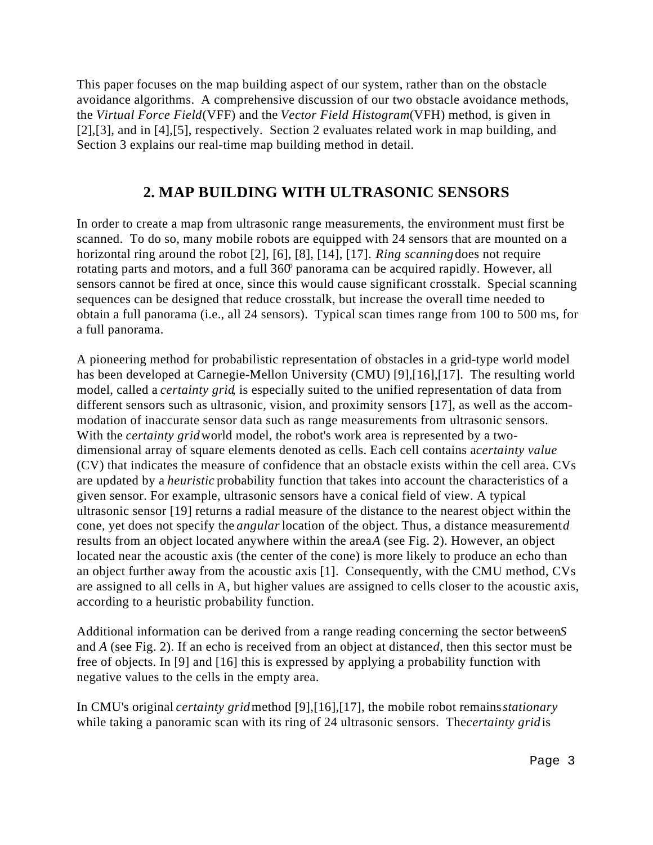This paper focuses on the map building aspect of our system, rather than on the obstacle avoidance algorithms. A comprehensive discussion of our two obstacle avoidance methods, the *Virtual Force Field* (VFF) and the *Vector Field Histogram* (VFH) method, is given in [2],[3], and in [4],[5], respectively. Section 2 evaluates related work in map building, and Section 3 explains our real-time map building method in detail.

## **2. MAP BUILDING WITH ULTRASONIC SENSORS**

In order to create a map from ultrasonic range measurements, the environment must first be scanned. To do so, many mobile robots are equipped with 24 sensors that are mounted on a horizontal ring around the robot [2], [6], [8], [14], [17]. *Ring scanning* does not require rotating parts and motors, and a full  $360^\circ$  panorama can be acquired rapidly. However, all sensors cannot be fired at once, since this would cause significant crosstalk. Special scanning sequences can be designed that reduce crosstalk, but increase the overall time needed to obtain a full panorama (i.e., all 24 sensors). Typical scan times range from 100 to 500 ms, for a full panorama.

A pioneering method for probabilistic representation of obstacles in a grid-type world model has been developed at Carnegie-Mellon University (CMU) [9],[16],[17]. The resulting world model, called a *certainty grid*, is especially suited to the unified representation of data from different sensors such as ultrasonic, vision, and proximity sensors [17], as well as the accommodation of inaccurate sensor data such as range measurements from ultrasonic sensors. With the *certainty grid* world model, the robot's work area is represented by a twodimensional array of square elements denoted as cells. Each cell contains acertainty value (CV) that indicates the measure of confidence that an obstacle exists within the cell area. CVs are updated by a *heuristic* probability function that takes into account the characteristics of a given sensor. For example, ultrasonic sensors have a conical field of view. A typical ultrasonic sensor [19] returns a radial measure of the distance to the nearest object within the cone, yet does not specify the *angular* location of the object. Thus, a distance measurement *d* results from an object located anywhere within the area *A* (see Fig. 2). However, an object located near the acoustic axis (the center of the cone) is more likely to produce an echo than an object further away from the acoustic axis [1]. Consequently, with the CMU method, CVs are assigned to all cells in A, but higher values are assigned to cells closer to the acoustic axis, according to a heuristic probability function.

Additional information can be derived from a range reading concerning the sector between *S* and *A* (see Fig. 2). If an echo is received from an object at distanced, then this sector must be free of objects. In [9] and [16] this is expressed by applying a probability function with negative values to the cells in the empty area.

In CMU's original *certainty grid* method [9],[16],[17], the mobile robot remains *stationary* while taking a panoramic scan with its ring of 24 ultrasonic sensors. The *certainty grid* is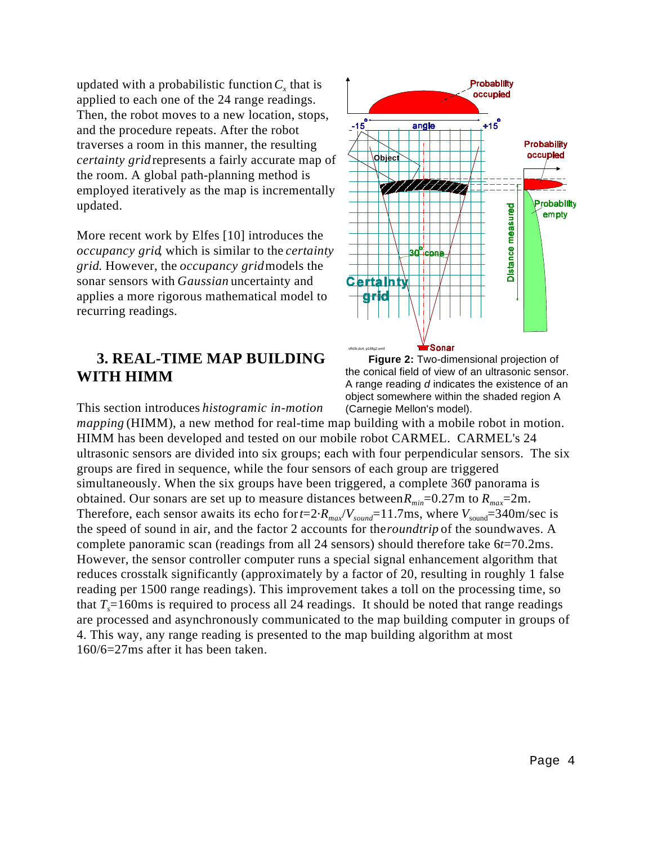updated with a probabilistic function  $C<sub>x</sub>$  that is applied to each one of the 24 range readings. Then, the robot moves to a new location, stops, and the procedure repeats. After the robot traverses a room in this manner, the resulting *certainty grid* represents a fairly accurate map of the room. A global path-planning method is employed iteratively as the map is incrementally updated.

More recent work by Elfes [10] introduces the *occupancy grid*, which is similar to the *certainty grid*. However, the *occupancy grid* models the sonar sensors with *Gaussian* uncertainty and applies a more rigorous mathematical model to recurring readings.

# **3. REAL-TIME MAP BUILDING WITH HIMM**





This section introduces *histogramic in-motion mapping* (HIMM), a new method for real-time map building with a mobile robot in motion. HIMM has been developed and tested on our mobile robot CARMEL. CARMEL's 24 ultrasonic sensors are divided into six groups; each with four perpendicular sensors. The six groups are fired in sequence, while the four sensors of each group are triggered simultaneously. When the six groups have been triggered, a complete  $360$  panorama is obtained. Our sonars are set up to measure distances between  $R_{min}$ =0.27m to  $R_{max}$ =2m. Therefore, each sensor awaits its echo for  $t=2$  *R*<sub>*max</sub>*/*V*<sub>sound</sub>=11.7ms, where  $V_{\text{sound}}=340$ m/sec is</sub> the speed of sound in air, and the factor 2 accounts for the *roundtrip* of the soundwaves. A complete panoramic scan (readings from all 24 sensors) should therefore take 6*t*=70.2ms. However, the sensor controller computer runs a special signal enhancement algorithm that reduces crosstalk significantly (approximately by a factor of 20, resulting in roughly 1 false reading per 1500 range readings). This improvement takes a toll on the processing time, so that  $T<sub>s</sub>=160\text{ms}$  is required to process all 24 readings. It should be noted that range readings are processed and asynchronously communicated to the map building computer in groups of 4. This way, any range reading is presented to the map building algorithm at most 160/6=27ms after it has been taken.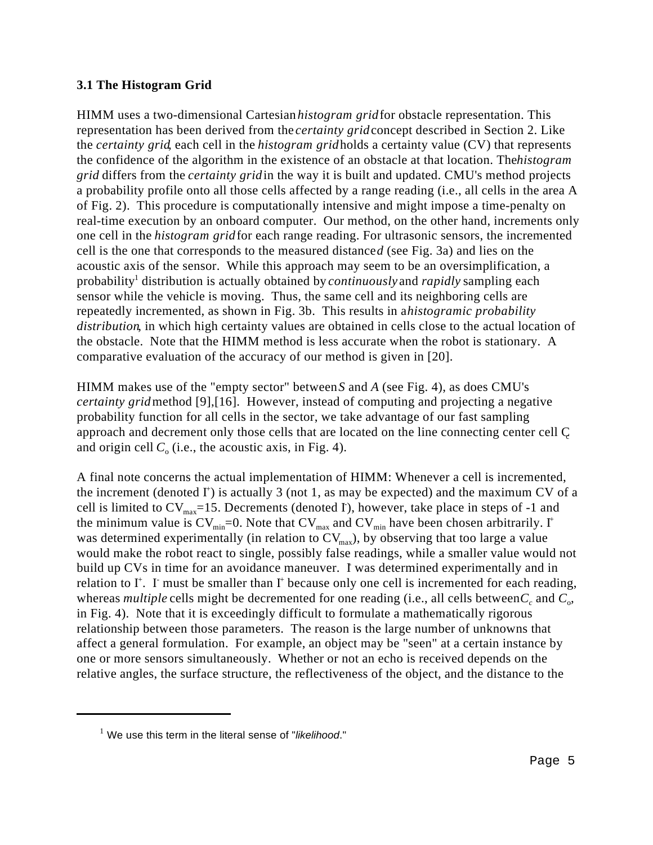#### **3.1 The Histogram Grid**

HIMM uses a two-dimensional Cartesian *histogram grid* for obstacle representation. This representation has been derived from the *certainty grid* concept described in Section 2. Like the *certainty grid*, each cell in the *histogram grid* holds a certainty value (CV) that represents the confidence of the algorithm in the existence of an obstacle at that location. The *histogram grid* differs from the *certainty grid* in the way it is built and updated. CMU's method projects a probability profile onto all those cells affected by a range reading (i.e., all cells in the area A of Fig. 2). This procedure is computationally intensive and might impose a time-penalty on real-time execution by an onboard computer. Our method, on the other hand, increments only one cell in the *histogram grid* for each range reading. For ultrasonic sensors, the incremented cell is the one that corresponds to the measured distance *d* (see Fig. 3a) and lies on the acoustic axis of the sensor. While this approach may seem to be an oversimplification, a probability<sup>1</sup> distribution is actually obtained by *continuously* and *rapidly* sampling each sensor while the vehicle is moving. Thus, the same cell and its neighboring cells are repeatedly incremented, as shown in Fig. 3b. This results in a *histogramic probability distribution*, in which high certainty values are obtained in cells close to the actual location of the obstacle. Note that the HIMM method is less accurate when the robot is stationary. A comparative evaluation of the accuracy of our method is given in [20].

HIMM makes use of the "empty sector" between *S* and *A* (see Fig. 4), as does CMU's *certainty grid* method [9],[16]. However, instead of computing and projecting a negative probability function for all cells in the sector, we take advantage of our fast sampling approach and decrement only those cells that are located on the line connecting center cell C and origin cell  $C_0$  (i.e., the acoustic axis, in Fig. 4).

A final note concerns the actual implementation of HIMM: Whenever a cell is incremented, the increment (denoted  $I^+$ ) is actually 3 (not 1, as may be expected) and the maximum CV of a cell is limited to  $CV_{max}$ =15. Decrements (denoted I), however, take place in steps of -1 and the minimum value is  $CV_{min} = 0$ . Note that  $CV_{max}$  and  $CV_{min}$  have been chosen arbitrarily. I<sup>+</sup> was determined experimentally (in relation to  $CV_{max}$ ), by observing that too large a value would make the robot react to single, possibly false readings, while a smaller value would not build up CVs in time for an avoidance maneuver. I was determined experimentally and in relation to I<sup>+</sup>. I must be smaller than I<sup>+</sup> because only one cell is incremented for each reading, whereas *multiple* cells might be decremented for one reading (i.e., all cells between  $C_c$  and  $C_o$ , in Fig. 4). Note that it is exceedingly difficult to formulate a mathematically rigorous relationship between those parameters. The reason is the large number of unknowns that affect a general formulation. For example, an object may be "seen" at a certain instance by one or more sensors simultaneously. Whether or not an echo is received depends on the relative angles, the surface structure, the reflectiveness of the object, and the distance to the

<sup>&</sup>lt;sup>1</sup> We use this term in the literal sense of "*likelihood*."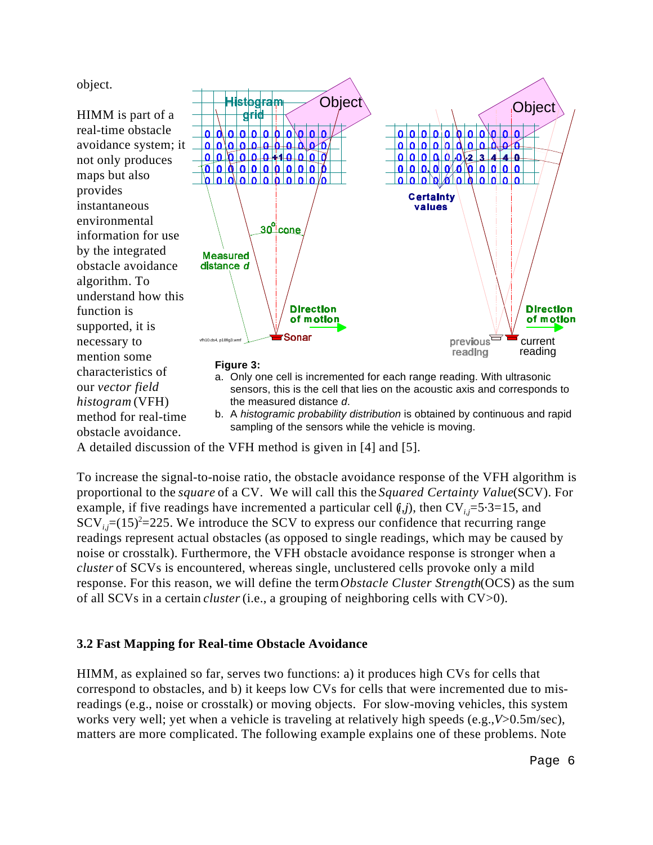object.

HIMM is part of a real-time obstacle avoidance system; it not only produces maps but also provides instantaneous environmental information for use by the integrated obstacle avoidance algorithm. To understand how this function is supported, it is necessary to mention some characteristics of our *vector field histogram* (VFH) method for real-time obstacle avoidance.



sampling of the sensors while the vehicle is moving.

A detailed discussion of the VFH method is given in [4] and [5].

To increase the signal-to-noise ratio, the obstacle avoidance response of the VFH algorithm is proportional to the *square* of a CV. We will call this the *Squared Certainty Value* (SCV). For example, if five readings have incremented a particular cell  $(i,j)$ , then  $CV_{i,j}=5.3=15$ , and  $SCV_{i,j}$ =(15)<sup>2</sup>=225. We introduce the SCV to express our confidence that recurring range readings represent actual obstacles (as opposed to single readings, which may be caused by noise or crosstalk). Furthermore, the VFH obstacle avoidance response is stronger when a *cluster* of SCVs is encountered, whereas single, unclustered cells provoke only a mild response. For this reason, we will define the term *Obstacle Cluster Strength* (OCS) as the sum of all SCVs in a certain *cluster* (i.e., a grouping of neighboring cells with CV>0).

### **3.2 Fast Mapping for Real-time Obstacle Avoidance**

HIMM, as explained so far, serves two functions: a) it produces high CVs for cells that correspond to obstacles, and b) it keeps low CVs for cells that were incremented due to misreadings (e.g., noise or crosstalk) or moving objects. For slow-moving vehicles, this system works very well; yet when a vehicle is traveling at relatively high speeds (e.g., *V*>0.5m/sec), matters are more complicated. The following example explains one of these problems. Note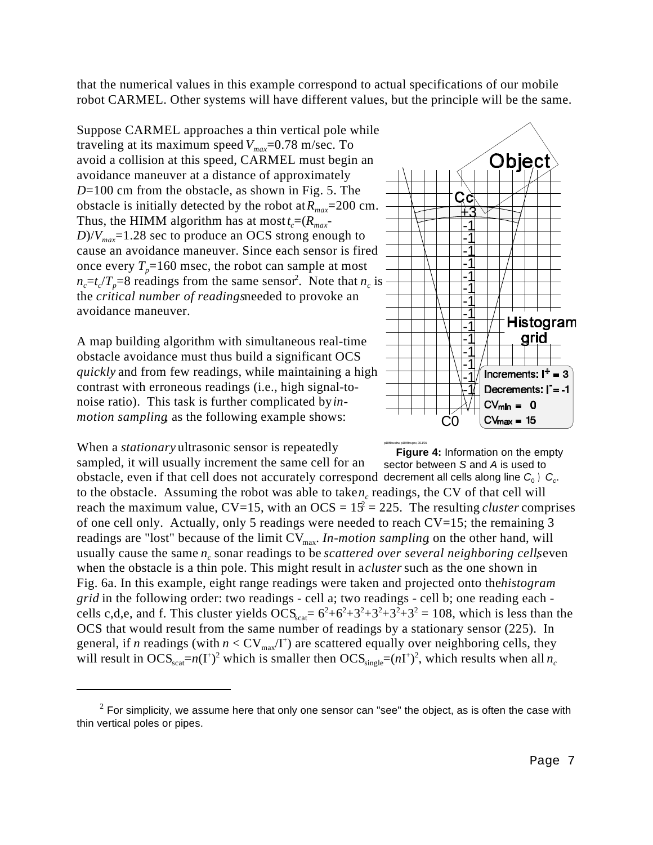that the numerical values in this example correspond to actual specifications of our mobile robot CARMEL. Other systems will have different values, but the principle will be the same.

Suppose CARMEL approaches a thin vertical pole while traveling at its maximum speed  $V_{max}$ =0.78 m/sec. To avoid a collision at this speed, CARMEL must begin an avoidance maneuver at a distance of approximately *D*=100 cm from the obstacle, as shown in Fig. 5. The obstacle is initially detected by the robot at *Rmax*=200 cm. Thus, the HIMM algorithm has at most  $t_c = (R_{max} - R_{max})$  $D/V_{\text{max}}$ =1.28 sec to produce an OCS strong enough to cause an avoidance maneuver. Since each sensor is fired once every  $T_p = 160$  msec, the robot can sample at most  $n_c = t_c / T_p = 8$  readings from the same sensor. Note that  $n_c$  is the *critical number of readings* needed to provoke an avoidance maneuver.

A map building algorithm with simultaneous real-time obstacle avoidance must thus build a significant OCS *quickly* and from few readings, while maintaining a high contrast with erroneous readings (i.e., high signal-tonoise ratio). This task is further complicated by *inmotion sampling*, as the following example shows:

When a *stationary* ultrasonic sensor is repeatedly

sector between *S* and *A* is used to obstacle, even if that cell does not accurately correspond decrement all cells along line  $C_0$ )  $C_c$ . sampled, it will usually increment the same cell for an to the obstacle. Assuming the robot was able to take *n<sub>c</sub>* readings, the CV of that cell will reach the maximum value,  $CV=15$ , with an  $OCS = 15^2 = 225$ . The resulting *cluster* comprises of one cell only. Actually, only 5 readings were needed to reach CV=15; the remaining 3 readings are "lost" because of the limit  $CV_{max}$ . *In-motion sampling* on the other hand, will usually cause the same  $n_c$  sonar readings to be *scattered over several neighboring cells*, even when the obstacle is a thin pole. This might result in *acluster* such as the one shown in Fig. 6a. In this example, eight range readings were taken and projected onto the *histogram grid* in the following order: two readings - cell a; two readings - cell b; one reading each cells c,d,e, and f. This cluster yields  $\overline{OCS}_{\text{scat}} = 6^2 + 6^2 + 3^2 + 3^2 + 3^2 + 3^2 = 108$ , which is less than the OCS that would result from the same number of readings by a stationary sensor (225). In general, if *n* readings (with  $n < CV_{max}/I^{+}$ ) are scattered equally over neighboring cells, they will result in  $OCS_{\text{scat}}=n(I^+)^2$  which is smaller then  $OCS_{\text{single}}=(nI^+)^2$ , which results when all  $n_c$ 



p18f4bw.drw, p18f4bw.pcx, 3/11/91 **Figure 4:** Information on the empty

 $2$  For simplicity, we assume here that only one sensor can "see" the object, as is often the case with thin vertical poles or pipes.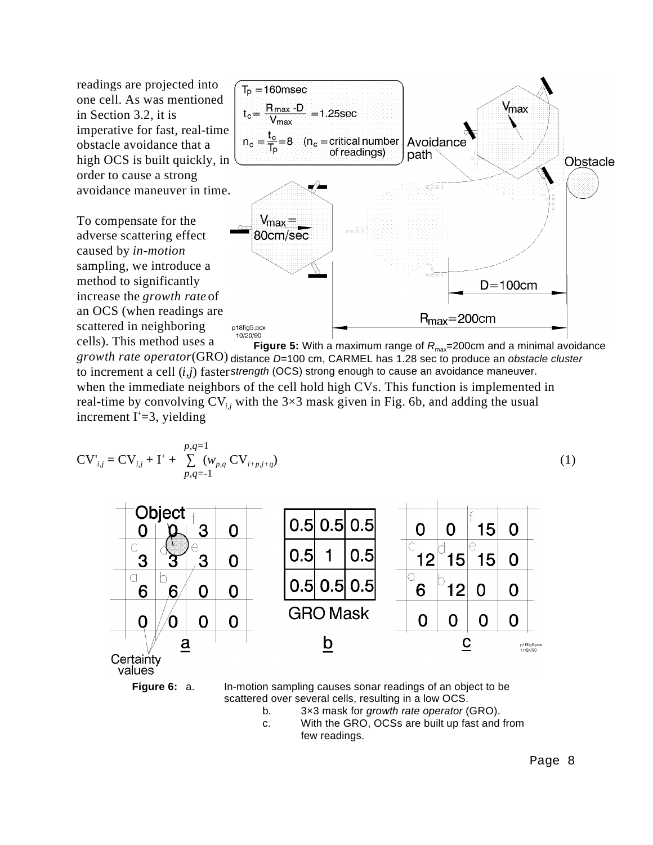readings are projected into one cell. As was mentioned in Section 3.2, it is imperative for fast, real-time obstacle avoidance that a high OCS is built quickly, in order to cause a strong avoidance maneuver in time.

To compensate for the adverse scattering effect caused by *in-motion* sampling, we introduce a method to significantly increase the *growth rate* of an OCS (when readings are scattered in neighboring cells). This method uses a



**Figure 5:** With a maximum range of  $R_{\text{max}} = 200 \text{cm}$  and a minimal avoidance growth rate operator(GRO) distance D=100 cm, CARMEL has 1.28 sec to produce an *obstacle cluster* to increment a cell (*i,j*) faster strength (OCS) strong enough to cause an avoidance maneuver. when the immediate neighbors of the cell hold high CVs. This function is implemented in real-time by convolving  $CV_{i,j}$  with the 3×3 mask given in Fig. 6b, and adding the usual

increment  $I^+=3$ , yielding

$$
CV'_{i,j} = CV_{i,j} + I^{+} + \sum_{p,q=-1}^{p,q=1} (w_{p,q} CV_{i+p,j+q})
$$
 (1)



values



**Figure 6:** a. In-motion sampling causes sonar readings of an object to be scattered over several cells, resulting in a low OCS. b. 3×3 mask for *growth rate operator* (GRO).

c. With the GRO, OCSs are built up fast and from few readings.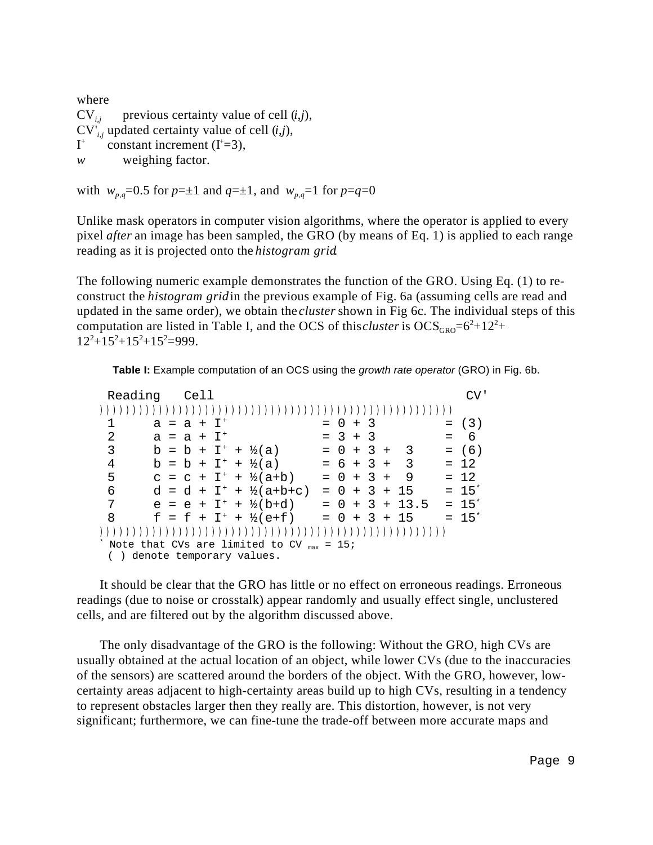where  $CV_{i,j}$  previous certainty value of cell  $(i,j)$ ,  $CV'_{i,i}$  updated certainty value of cell  $(i,j)$ ,  $I^+$  constant increment ( $I^+=3$ ), *w* weighing factor.

with  $w_{p,q} = 0.5$  for  $p = \pm 1$  and  $q = \pm 1$ , and  $w_{p,q} = 1$  for  $p = q = 0$ 

Unlike mask operators in computer vision algorithms, where the operator is applied to every pixel *after* an image has been sampled, the GRO (by means of Eq. 1) is applied to each range reading as it is projected onto the *histogram grid*.

The following numeric example demonstrates the function of the GRO. Using Eq. (1) to reconstruct the *histogram grid* in the previous example of Fig. 6a (assuming cells are read and updated in the same order), we obtain the *cluster* shown in Fig 6c. The individual steps of this computation are listed in Table I, and the OCS of this *cluster* is  $OCS<sub>GRO</sub>=6<sup>2</sup>+12<sup>2</sup> +$  $12^{2}+15^{2}+15^{2}+15^{2}=999.$ 

**Table I:** Example computation of an OCS using the *growth rate operator* (GRO) in Fig. 6b.

| Reading                                               | Cell                           |                                    |                  |  |   |  |            |
|-------------------------------------------------------|--------------------------------|------------------------------------|------------------|--|---|--|------------|
|                                                       |                                |                                    |                  |  |   |  |            |
|                                                       | $a = a + I^{+}$                |                                    | $= 0 + 3$        |  |   |  | $= (3)$    |
| 2                                                     | $a = a + I^+$                  |                                    | $= 3 + 3$        |  |   |  | $= 6$      |
| 3                                                     | $b = b + I^+ + \frac{1}{2}(a)$ |                                    | $= 0 + 3 + 3$    |  |   |  | $= (6)$    |
| 4                                                     | $b = b + I^+ + \frac{1}{2}(a)$ |                                    | $= 6 + 3 + 3$    |  |   |  | $= 12$     |
| 5                                                     |                                | $c = c + I^+ + \frac{1}{2}(a+b)$   | $= 0 + 3 +$      |  | 9 |  | $= 12$     |
| 6                                                     |                                | $d = d + I^+ + \frac{1}{2}(a+b+c)$ | $= 0 + 3 + 15$   |  |   |  | $= 15^{*}$ |
| 7                                                     |                                | $e = e + I^+ + \frac{1}{2}(b+d)$   | $= 0 + 3 + 13.5$ |  |   |  | $= 15^{*}$ |
| 8                                                     |                                | $f = f + I^+ + \frac{1}{2}(e+f)$   | $= 0 + 3 + 15$   |  |   |  | $= 15^{*}$ |
|                                                       |                                |                                    |                  |  |   |  |            |
| Note that CVs are limited to CV $_{\text{max}}$ = 15; |                                |                                    |                  |  |   |  |            |
| () denote temporary values.                           |                                |                                    |                  |  |   |  |            |

It should be clear that the GRO has little or no effect on erroneous readings. Erroneous readings (due to noise or crosstalk) appear randomly and usually effect single, unclustered cells, and are filtered out by the algorithm discussed above.

The only disadvantage of the GRO is the following: Without the GRO, high CVs are usually obtained at the actual location of an object, while lower CVs (due to the inaccuracies of the sensors) are scattered around the borders of the object. With the GRO, however, lowcertainty areas adjacent to high-certainty areas build up to high CVs, resulting in a tendency to represent obstacles larger then they really are. This distortion, however, is not very significant; furthermore, we can fine-tune the trade-off between more accurate maps and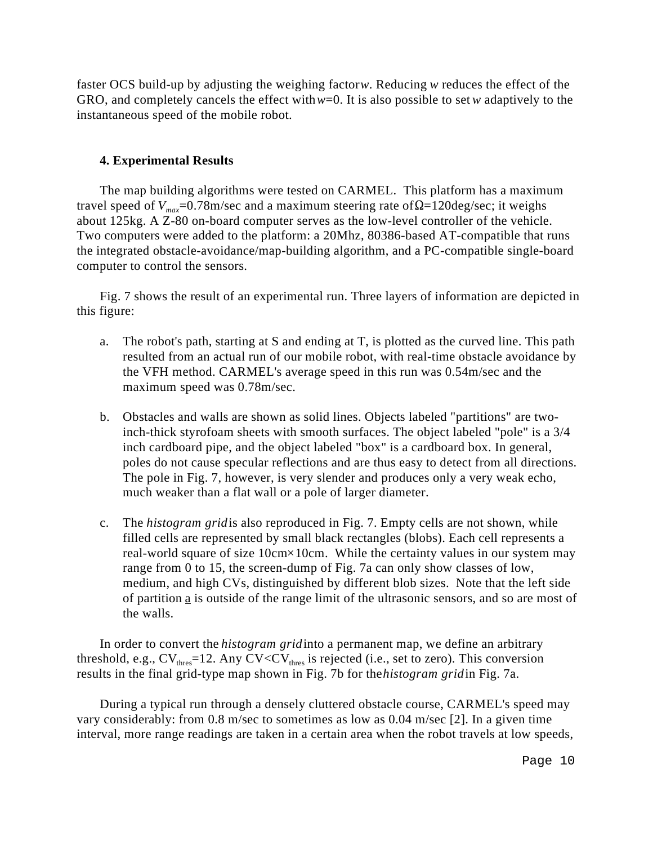faster OCS build-up by adjusting the weighing factor *w*. Reducing *w* reduces the effect of the GRO, and completely cancels the effect with *w*=0. It is also possible to set *w* adaptively to the instantaneous speed of the mobile robot.

#### **4. Experimental Results**

The map building algorithms were tested on CARMEL. This platform has a maximum travel speed of  $V_{max}$ =0.78m/sec and a maximum steering rate of  $\Omega$ =120deg/sec; it weighs about 125kg. A Z-80 on-board computer serves as the low-level controller of the vehicle. Two computers were added to the platform: a 20Mhz, 80386-based AT-compatible that runs the integrated obstacle-avoidance/map-building algorithm, and a PC-compatible single-board computer to control the sensors.

Fig. 7 shows the result of an experimental run. Three layers of information are depicted in this figure:

- a. The robot's path, starting at S and ending at T, is plotted as the curved line. This path resulted from an actual run of our mobile robot, with real-time obstacle avoidance by the VFH method. CARMEL's average speed in this run was 0.54m/sec and the maximum speed was 0.78m/sec.
- b. Obstacles and walls are shown as solid lines. Objects labeled "partitions" are twoinch-thick styrofoam sheets with smooth surfaces. The object labeled "pole" is a 3/4 inch cardboard pipe, and the object labeled "box" is a cardboard box. In general, poles do not cause specular reflections and are thus easy to detect from all directions. The pole in Fig. 7, however, is very slender and produces only a very weak echo, much weaker than a flat wall or a pole of larger diameter.
- c. The *histogram grid* is also reproduced in Fig. 7. Empty cells are not shown, while filled cells are represented by small black rectangles (blobs). Each cell represents a real-world square of size 10cm*×*10cm. While the certainty values in our system may range from 0 to 15, the screen-dump of Fig. 7a can only show classes of low, medium, and high CVs, distinguished by different blob sizes. Note that the left side of partition  $\underline{a}$  is outside of the range limit of the ultrasonic sensors, and so are most of the walls.

In order to convert the *histogram grid* into a permanent map, we define an arbitrary threshold, e.g.,  $CV_{thres}$ =12. Any  $CV < CV_{thres}$  is rejected (i.e., set to zero). This conversion results in the final grid-type map shown in Fig. 7b for the *histogram grid* in Fig. 7a.

During a typical run through a densely cluttered obstacle course, CARMEL's speed may vary considerably: from 0.8 m/sec to sometimes as low as 0.04 m/sec [2]. In a given time interval, more range readings are taken in a certain area when the robot travels at low speeds,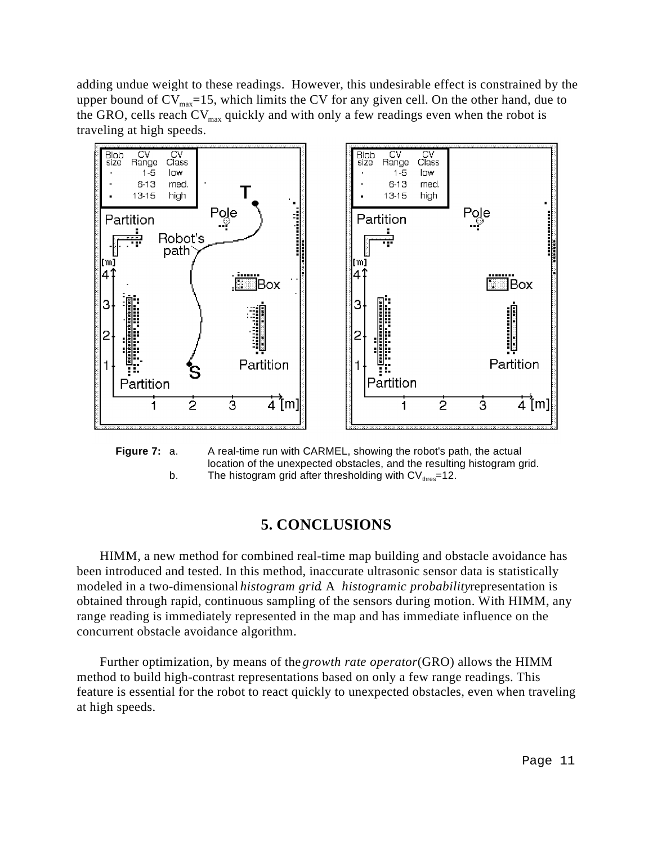adding undue weight to these readings. However, this undesirable effect is constrained by the upper bound of  $CV_{max}$ =15, which limits the CV for any given cell. On the other hand, due to the GRO, cells reach  $CV_{max}$  quickly and with only a few readings even when the robot is traveling at high speeds.





### **5. CONCLUSIONS**

HIMM, a new method for combined real-time map building and obstacle avoidance has been introduced and tested. In this method, inaccurate ultrasonic sensor data is statistically modeled in a two-dimensional *histogram grid*. A *histogramic probability* representation is obtained through rapid, continuous sampling of the sensors during motion. With HIMM, any range reading is immediately represented in the map and has immediate influence on the concurrent obstacle avoidance algorithm.

Further optimization, by means of the *growth rate operator* (GRO) allows the HIMM method to build high-contrast representations based on only a few range readings. This feature is essential for the robot to react quickly to unexpected obstacles, even when traveling at high speeds.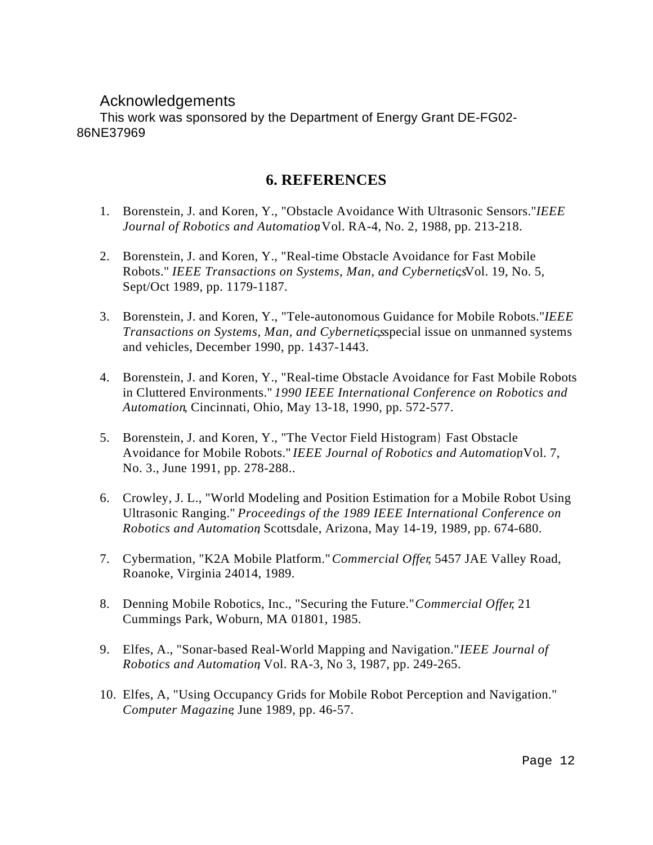## Acknowledgements

This work was sponsored by the Department of Energy Grant DE-FG02- 86NE37969

## **6. REFERENCES**

- 1. Borenstein, J. and Koren, Y., "Obstacle Avoidance With Ultrasonic Sensors." *IEEE Journal of Robotics and Automation*, Vol. RA-4, No. 2, 1988, pp. 213-218.
- 2. Borenstein, J. and Koren, Y., "Real-time Obstacle Avoidance for Fast Mobile Robots." *IEEE Transactions on Systems, Man, and Cybernetics*Vol. 19, No. 5, Sept/Oct 1989, pp. 1179-1187.
- 3. Borenstein, J. and Koren, Y., "Tele-autonomous Guidance for Mobile Robots." *IEEE Transactions on Systems, Man, and Cybernetics*, special issue on unmanned systems and vehicles, December 1990, pp. 1437-1443.
- 4. Borenstein, J. and Koren, Y., "Real-time Obstacle Avoidance for Fast Mobile Robots in Cluttered Environments." *1990 IEEE International Conference on Robotics and Automation*, Cincinnati, Ohio, May 13-18, 1990, pp. 572-577.
- 5. Borenstein, J. and Koren, Y., "The Vector Field Histogram ) Fast Obstacle Avoidance for Mobile Robots." *IEEE Journal of Robotics and Automation* Vol. 7, No. 3., June 1991, pp. 278-288..
- 6. Crowley, J. L., "World Modeling and Position Estimation for a Mobile Robot Using Ultrasonic Ranging." *Proceedings of the 1989 IEEE International Conference on Robotics and Automation*, Scottsdale, Arizona, May 14-19, 1989, pp. 674-680.
- 7. Cybermation, "K2A Mobile Platform." *Commercial Offer*, 5457 JAE Valley Road, Roanoke, Virginia 24014, 1989.
- 8. Denning Mobile Robotics, Inc., "Securing the Future." *Commercial Offer*, 21 Cummings Park, Woburn, MA 01801, 1985.
- 9. Elfes, A., "Sonar-based Real-World Mapping and Navigation." *IEEE Journal of Robotics and Automation*, Vol. RA-3, No 3, 1987, pp. 249-265.
- 10. Elfes, A, "Using Occupancy Grids for Mobile Robot Perception and Navigation." *Computer Magazine*, June 1989, pp. 46-57.